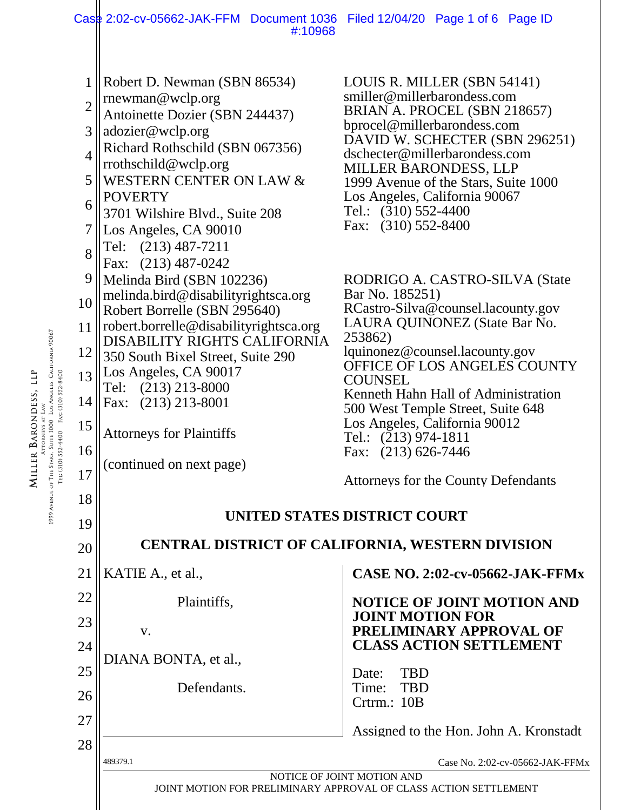## 1 2 3 4 5 6 7 8 9 10 11 12 13 14 15 16 17 18 19 20 21 22 23 24 25 26 27 28 489379.1 Case No. 2:02-cv-05662-JAK-FFMx NOTICE OF JOINT MOTION AND JOINT MOTION FOR PRELIMINARY APPROVAL OF CLASS ACTION SETTLEMENT Robert D. Newman (SBN 86534) rnewman@wclp.org Antoinette Dozier (SBN 244437) adozier@wclp.org Richard Rothschild (SBN 067356) rrothschild@wclp.org WESTERN CENTER ON LAW & POVERTY 3701 Wilshire Blvd., Suite 208 Los Angeles, CA 90010 Tel: (213) 487-7211 Fax: (213) 487-0242 LOUIS R. MILLER (SBN 54141) smiller@millerbarondess.com BRIAN A. PROCEL (SBN 218657) bprocel@millerbarondess.com DAVID W. SCHECTER (SBN 296251) dschecter@millerbarondess.com MILLER BARONDESS, LLP 1999 Avenue of the Stars, Suite 1000 Los Angeles, California 90067 Tel.: (310) 552-4400 Fax: (310) 552-8400 Melinda Bird (SBN 102236) melinda.bird@disabilityrightsca.org Robert Borrelle (SBN 295640) robert.borrelle@disabilityrightsca.org DISABILITY RIGHTS CALIFORNIA 350 South Bixel Street, Suite 290 Los Angeles, CA 90017 Tel: (213) 213-8000 Fax: (213) 213-8001 Attorneys for Plaintiffs (continued on next page) RODRIGO A. CASTRO-SILVA (State Bar No. 185251) RCastro-Silva@counsel.lacounty.gov LAURA QUINONEZ (State Bar No. 253862) lquinonez@counsel.lacounty.gov OFFICE OF LOS ANGELES COUNTY **COUNSEL** Kenneth Hahn Hall of Administration 500 West Temple Street, Suite 648 Los Angeles, California 90012 Tel.: (213) 974-1811 Fax: (213) 626-7446 Attorneys for the County Defendants **UNITED STATES DISTRICT COURT CENTRAL DISTRICT OF CALIFORNIA, WESTERN DIVISION** KATIE A., et al., Plaintiffs, v. DIANA BONTA, et al., Defendants. **CASE NO. 2:02-cv-05662-JAK-FFMx NOTICE OF JOINT MOTION AND JOINT MOTION FOR PRELIMINARY APPROVAL OF CLASS ACTION SETTLEMENT** Date: TBD Time: TBD Crtrm.: 10B Assigned to the Hon. John A. Kronstadt Case 2:02-cv-05662-JAK-FFM Document 1036 Filed 12/04/20 Page 1 of 6 Page ID #:10968

Attorneys a Law<br>1999 Avenue of The Stars, Suite 1000 Los Angeles, California 90067<br>Tel: (310) S52-4400 Eax: (310) S52-8400 MILLER BARONDESS, LLP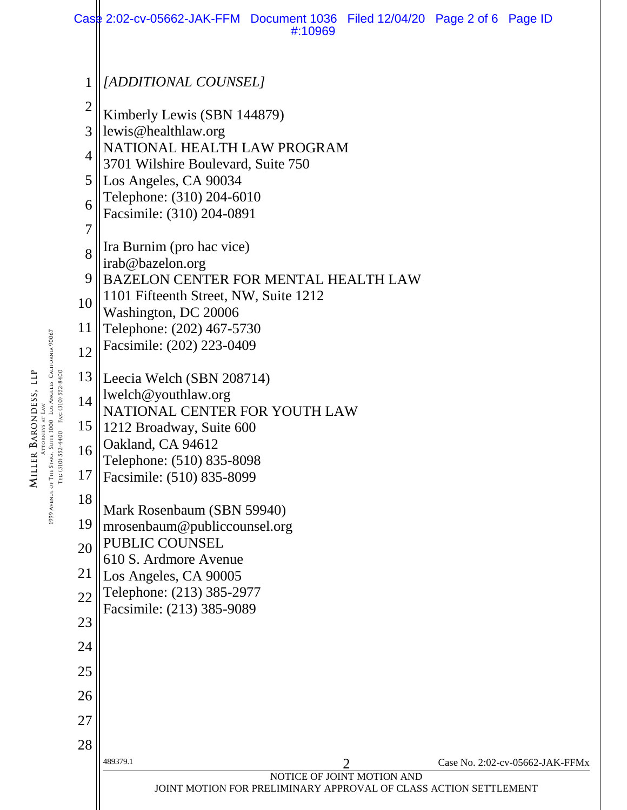|                | Case 2:02-cv-05662-JAK-FFM Document 1036 Filed 12/04/20 Page 2 of 6 Page ID | #:10969                                                          |                            |  |                                 |  |  |  |
|----------------|-----------------------------------------------------------------------------|------------------------------------------------------------------|----------------------------|--|---------------------------------|--|--|--|
|                |                                                                             |                                                                  |                            |  |                                 |  |  |  |
| 1              | <i>[ADDITIONAL COUNSEL]</i>                                                 |                                                                  |                            |  |                                 |  |  |  |
| $\overline{2}$ | Kimberly Lewis (SBN 144879)                                                 |                                                                  |                            |  |                                 |  |  |  |
| 3              | lewis@healthlaw.org<br>NATIONAL HEALTH LAW PROGRAM                          |                                                                  |                            |  |                                 |  |  |  |
| 4              | 3701 Wilshire Boulevard, Suite 750                                          |                                                                  |                            |  |                                 |  |  |  |
| 5              | Los Angeles, CA 90034<br>Telephone: (310) 204-6010                          |                                                                  |                            |  |                                 |  |  |  |
| 6              | Facsimile: (310) 204-0891                                                   |                                                                  |                            |  |                                 |  |  |  |
| $\overline{7}$ |                                                                             |                                                                  |                            |  |                                 |  |  |  |
| 8              | Ira Burnim (pro hac vice)<br>irab@bazelon.org                               |                                                                  |                            |  |                                 |  |  |  |
| 9              | BAZELON CENTER FOR MENTAL HEALTH LAW                                        |                                                                  |                            |  |                                 |  |  |  |
| 10             | 1101 Fifteenth Street, NW, Suite 1212<br>Washington, DC 20006               |                                                                  |                            |  |                                 |  |  |  |
| 11             | Telephone: (202) 467-5730                                                   |                                                                  |                            |  |                                 |  |  |  |
| 12             | Facsimile: (202) 223-0409                                                   |                                                                  |                            |  |                                 |  |  |  |
| 13             | Leecia Welch (SBN 208714)                                                   |                                                                  |                            |  |                                 |  |  |  |
| 14             | lwelch@youthlaw.org<br>NATIONAL CENTER FOR YOUTH LAW                        |                                                                  |                            |  |                                 |  |  |  |
| 15             | 1212 Broadway, Suite 600                                                    |                                                                  |                            |  |                                 |  |  |  |
| 16             | Oakland, CA 94612                                                           |                                                                  |                            |  |                                 |  |  |  |
| 17             | Telephone: (510) 835-8098<br>Facsimile: (510) 835-8099                      |                                                                  |                            |  |                                 |  |  |  |
| 18             |                                                                             |                                                                  |                            |  |                                 |  |  |  |
| 19             | Mark Rosenbaum (SBN 59940)<br>mrosenbaum@publiccounsel.org                  |                                                                  |                            |  |                                 |  |  |  |
| 20             | PUBLIC COUNSEL                                                              |                                                                  |                            |  |                                 |  |  |  |
| 21             | 610 S. Ardmore Avenue<br>Los Angeles, CA 90005                              |                                                                  |                            |  |                                 |  |  |  |
| 22             | Telephone: (213) 385-2977                                                   |                                                                  |                            |  |                                 |  |  |  |
| 23             | Facsimile: (213) 385-9089                                                   |                                                                  |                            |  |                                 |  |  |  |
| 24             |                                                                             |                                                                  |                            |  |                                 |  |  |  |
| 25             |                                                                             |                                                                  |                            |  |                                 |  |  |  |
| 26             |                                                                             |                                                                  |                            |  |                                 |  |  |  |
| 27             |                                                                             |                                                                  |                            |  |                                 |  |  |  |
| 28             |                                                                             |                                                                  |                            |  |                                 |  |  |  |
|                | 489379.1                                                                    |                                                                  | 2                          |  | Case No. 2:02-cv-05662-JAK-FFMx |  |  |  |
|                |                                                                             | JOINT MOTION FOR PRELIMINARY APPROVAL OF CLASS ACTION SETTLEMENT | NOTICE OF JOINT MOTION AND |  |                                 |  |  |  |

**MILLER BARONDESS, LLP**<br>1999 Avenue of The Stras, Suite 1000 Los Angeles, California 90067<br>Tel: (310) S52-4400 Fax: (310) S52-8400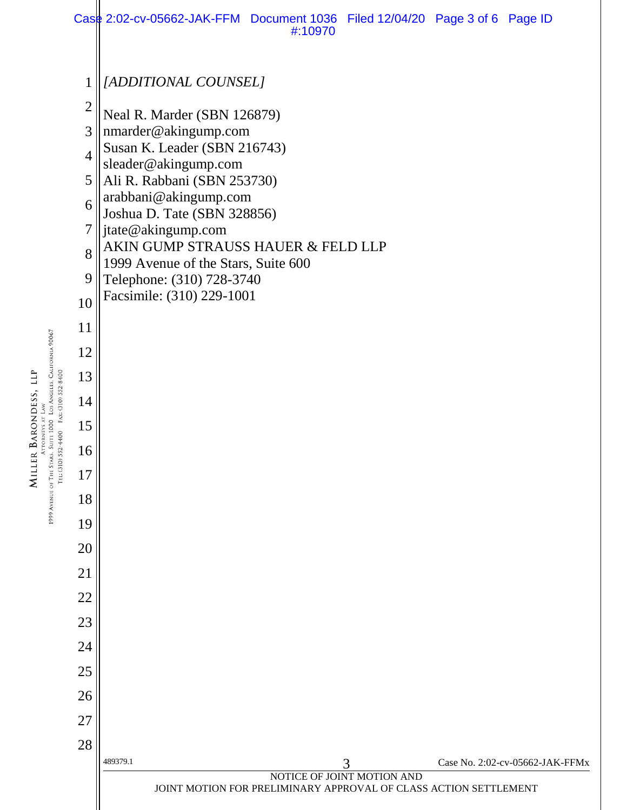

Attoriers at Law<br>1999 Avenue of The Stars, Suite 1000 Los Angeles, California 90067 MILLER BARONDESS, LLP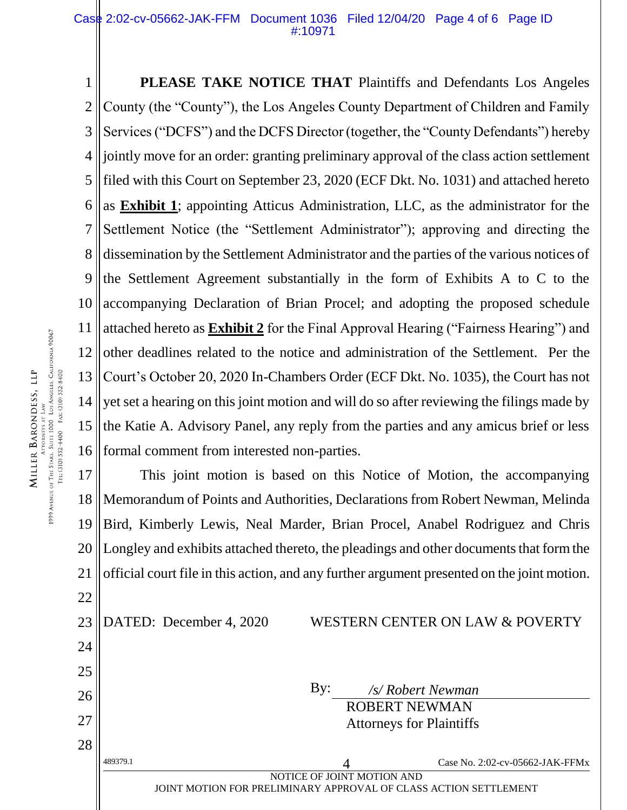1 2 3 4 5 6 7 8 9 10 11 12 13 14 15 16 **PLEASE TAKE NOTICE THAT** Plaintiffs and Defendants Los Angeles County (the "County"), the Los Angeles County Department of Children and Family Services ("DCFS") and the DCFS Director (together, the "County Defendants") hereby jointly move for an order: granting preliminary approval of the class action settlement filed with this Court on September 23, 2020 (ECF Dkt. No. 1031) and attached hereto as **Exhibit 1**; appointing Atticus Administration, LLC, as the administrator for the Settlement Notice (the "Settlement Administrator"); approving and directing the dissemination by the Settlement Administrator and the parties of the various notices of the Settlement Agreement substantially in the form of Exhibits A to C to the accompanying Declaration of Brian Procel; and adopting the proposed schedule attached hereto as **Exhibit 2** for the Final Approval Hearing ("Fairness Hearing") and other deadlines related to the notice and administration of the Settlement. Per the Court's October 20, 2020 In-Chambers Order (ECF Dkt. No. 1035), the Court has not yet set a hearing on this joint motion and will do so after reviewing the filings made by the Katie A. Advisory Panel, any reply from the parties and any amicus brief or less formal comment from interested non-parties.

17 18 19 20 21 22 This joint motion is based on this Notice of Motion, the accompanying Memorandum of Points and Authorities, Declarations from Robert Newman, Melinda Bird, Kimberly Lewis, Neal Marder, Brian Procel, Anabel Rodriguez and Chris Longley and exhibits attached thereto, the pleadings and other documents that form the official court file in this action, and any further argument presented on the joint motion.

23

DATED: December 4, 2020 WESTERN CENTER ON LAW & POVERTY

|    | JOINT MOTION FOR PRELIMINARY APPROVAL OF CLASS ACTION SETTLEMENT |                                 |                            |                                    |  |  |
|----|------------------------------------------------------------------|---------------------------------|----------------------------|------------------------------------|--|--|
|    | 489379.1                                                         |                                 | NOTICE OF JOINT MOTION AND | Case No. $2:02$ -cv-05662-JAK-FFMx |  |  |
| 28 |                                                                  |                                 |                            |                                    |  |  |
| 27 |                                                                  | <b>Attorneys for Plaintiffs</b> |                            |                                    |  |  |
| 26 |                                                                  | By:                             | <b>ROBERT NEWMAN</b>       | /s/ Robert Newman                  |  |  |
| 25 |                                                                  |                                 |                            |                                    |  |  |

24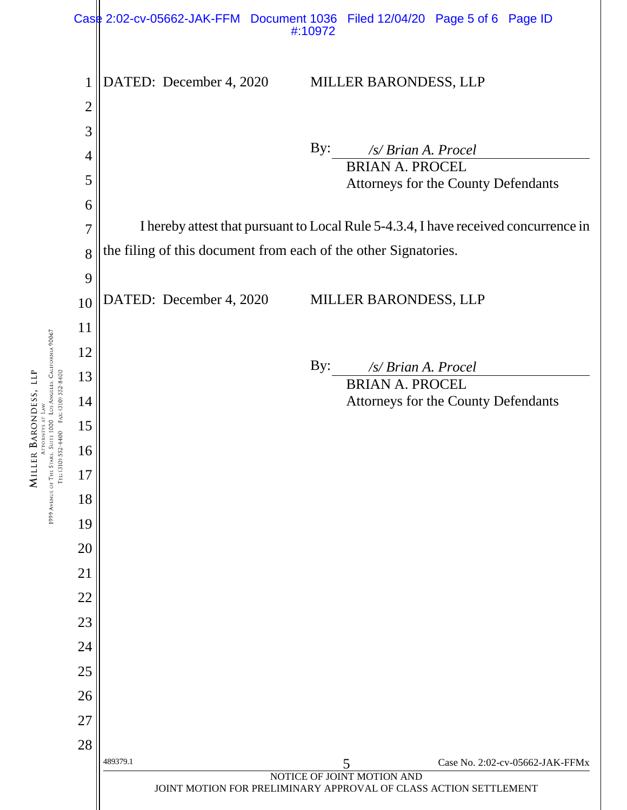

ATTORNEYS AT LAW<br>1999 Avenue of The Stars, Suite 1000 Los Angeles, California 90067 MILLER BARONDESS, LLP